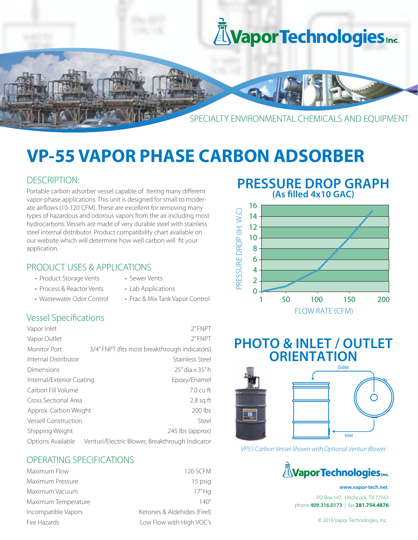

# **VP-55 VAPOR PHASE CARBON ADSORBER**

# DESCRIPTION:

Portable carbon adsorber vessel capable of Itering many different vapor-phase applications. This unit is designed for small to moderate airflows (10-120 CFM). These are excellent for removing many types of hazardous and odorous vapors from the air including most hydrocarbons. Vessels are made of very durable steel with stainless steel internal distributor. Product compatibility chart available on our website which will determine how well carbon will fit your application.

# PRODUCT USES & APPLICATIONS

- Product Storage Vents Sewer Vents
	-
- Process & Reactor Vents Lab Applications
- Wastewater Odor Control Frac & Mix Tank Vapor Control

# Vessel Specifications

| Vapor Inlet                 | 2"FNPT                                          |
|-----------------------------|-------------------------------------------------|
| Vapor Outlet                | 2"FNPT                                          |
| Monitor Port                | 3/4" FNPT (fits most breakthrough indicators)   |
| Internal Distributor        | Stainless Steel                                 |
| Dimensions                  | 25" dia x 35" h                                 |
| Internal/Exterior Coating   | Epoxy/Enamel                                    |
| Carbon Fill Volume          | $7.0 \mathrm{cm}$ ft                            |
| Cross Sectional Area        | $2.8$ sq ft                                     |
| Approx. Carbon Weight       | $200$ lbs                                       |
| <b>Vessell Construction</b> | Steel                                           |
| Shipping Weight             | 245 lbs (approx)                                |
| Options Available           | Venturi/Electric Blower, Breakthrough Indicator |
|                             |                                                 |

# OPERATING SPECIFICATIONS

| Maximum Flow        | <b>120 SCFM</b>             |
|---------------------|-----------------------------|
| Maximum Pressure    | 15 psig                     |
| Maximum Vacuum      | 17"Hg                       |
| Maximum Temperature | $140^\circ$                 |
| Incompatible Vapors | Ketones & Aldehides (Fire!) |
| Fire Hazards        | Low Flow with High VOC's    |

# **PRESSURE DROP GRAPH (As lled 4x10 GAC)**



# **PHOTO & INLET / OUTLET ORIENTATION**



*VP55 Carbon Vessel Shown with Optional Venturi Blower*



#### **www.vapor-tech.net**

PO Box 107, Hitchcock, TX 77563 phone **409.316.0173** | fax **281.754.4876**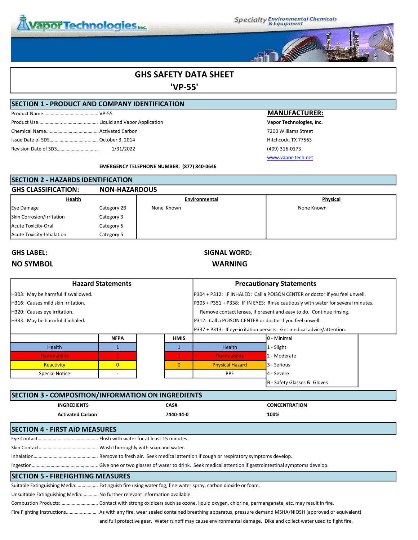

**Specialty Environmental Chemicals**<br>& Equipment



# GHS SAFETY DATA SHEET

'VP-55'

#### SECTION 1 - PRODUCT AND COMPANY IDENTIFICATION

### **MANUFACTURER:**

Vapor Technologies, Inc. 7200 Williams Street Hitchcock, TX 77563 Revision Date of SDS……………….………...…….. 1/31/2022 (409) 316-0173 www.vapor-tech.net

EMERGENCY TELEPHONE NUMBER: (877) 840-0646

| <b>SECTION 2 - HAZARDS IDENTIFICATION</b> |                      |               |            |
|-------------------------------------------|----------------------|---------------|------------|
| <b>GHS CLASSIFICATION:</b>                | <b>NON-HAZARDOUS</b> |               |            |
| <b>Health</b>                             |                      | Environmental | Physical   |
| Eye Damage                                | Category 2B          | None Known    | None Known |
| Skin Corrosion/Irritation                 | Category 3           |               |            |
| Acute Toxicity-Oral                       | Category 5           |               |            |
| Acute Toxicity-Inhalation                 | Category 5           |               |            |

# GHS LABEL: SIGNAL WORD: NO SYMBOL WARNING

| <b>Hazard Statements</b>           |                |                                                                                  |              |                                                                             | <b>Precautionary Statements</b>                                        |  |
|------------------------------------|----------------|----------------------------------------------------------------------------------|--------------|-----------------------------------------------------------------------------|------------------------------------------------------------------------|--|
| H303: May be harmful if swallowed. |                |                                                                                  |              | P304 + P312: IF INHALED: Call a POISON CENTER or doctor if you feel unwell. |                                                                        |  |
| H316: Causes mild skin irritation. |                | P305 + P351 + P338: IF IN EYES: Rinse cautiously with water for several minutes. |              |                                                                             |                                                                        |  |
| H320: Causes eye irritation.       |                |                                                                                  |              | Remove contact lenses, if present and easy to do. Continue rinsing.         |                                                                        |  |
| H333: May be harmful if inhaled.   |                | P312: Call a POISON CENTER or doctor if you feel unwell.                         |              |                                                                             |                                                                        |  |
|                                    |                |                                                                                  |              |                                                                             | P337 + P313: If eye irritation persists: Get medical advice/attention. |  |
|                                    | <b>NFPA</b>    |                                                                                  | <b>HMIS</b>  |                                                                             | 0 - Minimal                                                            |  |
| Health                             |                |                                                                                  |              | <b>Health</b>                                                               | $1 -$ Slight                                                           |  |
| Flammability                       |                |                                                                                  |              | <b>Flammability</b>                                                         | 2 - Moderate                                                           |  |
| Reactivity                         | $\overline{0}$ |                                                                                  | $\mathbf{0}$ | <b>Physical Hazard</b>                                                      | 3 - Serious                                                            |  |
| <b>Special Notice</b>              |                |                                                                                  |              | <b>PPE</b>                                                                  | 4 - Severe                                                             |  |
|                                    |                |                                                                                  |              |                                                                             | B - Safety Glasses & Gloves                                            |  |
|                                    |                |                                                                                  |              |                                                                             |                                                                        |  |

# SECTION 3 - COMPOSITION/INFORMATION ON INGREDIENTS

| <b>INGREDIENTS</b>                                                                                        | CAS#      | <b>CONCENTRATION</b> |  |
|-----------------------------------------------------------------------------------------------------------|-----------|----------------------|--|
| <b>Activated Carbon</b>                                                                                   | 7440-44-0 | 100%                 |  |
| <b>ISECTION 4 - FIRST AID MEASURES</b>                                                                    |           |                      |  |
|                                                                                                           |           |                      |  |
|                                                                                                           |           |                      |  |
|                                                                                                           |           |                      |  |
|                                                                                                           |           |                      |  |
| <b>SECTION 5 - FIREFIGHTING MEASURES</b>                                                                  |           |                      |  |
| Suitable Extinguishing Media:  Extinguish fire using water fog, fine water spray, carbon dioxide or foam. |           |                      |  |

Unsuitable Extinguishing Media:………………….. No further relevant information available. Combustion Products: ……………………………………….. Contact with strong oxidizers such as ozone, liquid oxygen, chlorine, permanganate, etc. may result in fire. Fire Fighting Instructions…………...……… As with any fire, wear sealed contained breathing apparatus, pressure demand MSHA/NIOSH (approved or equivalent) and full protective gear. Water runoff may cause environmental damage. Dike and collect water used to fight fire.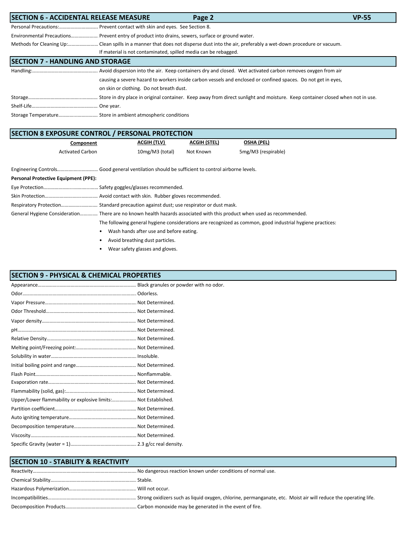| <b>SECTION 6 - ACCIDENTAL RELEASE MEASURE</b> | Page 2                                                                                                        | $VP-55$ |
|-----------------------------------------------|---------------------------------------------------------------------------------------------------------------|---------|
|                                               | Personal Precautions: Prevent contact with skin and eyes. See Section 8.                                      |         |
|                                               | Environmental Precautions Prevent entry of product into drains, sewers, surface or ground water.              |         |
|                                               |                                                                                                               |         |
|                                               | If material is not contaminated, spilled media can be rebagged.                                               |         |
| <b>SECTION 7 - HANDLING AND STORAGE</b>       |                                                                                                               |         |
|                                               |                                                                                                               |         |
|                                               | causing a severe hazard to workers inside carbon vessels and enclosed or confined spaces. Do not get in eyes, |         |
|                                               | on skin or clothing. Do not breath dust.                                                                      |         |
|                                               |                                                                                                               |         |
|                                               |                                                                                                               |         |
|                                               |                                                                                                               |         |

| <b>SECTION 8 EXPOSURE CONTROL / PERSONAL PROTECTION</b> |                 |                     |                     |
|---------------------------------------------------------|-----------------|---------------------|---------------------|
| Component                                               | ACGIH (TLV)     | <b>ACGIH (STEL)</b> | <b>OSHA (PEL)</b>   |
| <b>Activated Carbon</b>                                 | 10mg/M3 (total) | Not Known           | 5mg/M3 (respirable) |
|                                                         |                 |                     |                     |
|                                                         |                 |                     |                     |
| <b>Personal Protective Equipment (PPE):</b>             |                 |                     |                     |
|                                                         |                 |                     |                     |
|                                                         |                 |                     |                     |
|                                                         |                 |                     |                     |

General Hygiene Consideration………..…..There are no known health hazards associated with this product when used as recommended.

The following general hygiene considerations are recognized as common, good industrial hygiene practices:

- Wash hands after use and before eating.
- Avoid breathing dust particles.
- Wear safety glasses and gloves.

### SECTION 9 - PHYSICAL & CHEMICAL PROPERTIES

| Upper/Lower flammability or explosive limits: Not Established. |  |
|----------------------------------------------------------------|--|
|                                                                |  |
|                                                                |  |
|                                                                |  |
|                                                                |  |
|                                                                |  |
|                                                                |  |

| <b>SECTION 10 - STABILITY &amp; REACTIVITY</b> |  |
|------------------------------------------------|--|
|                                                |  |
|                                                |  |
|                                                |  |
|                                                |  |
|                                                |  |